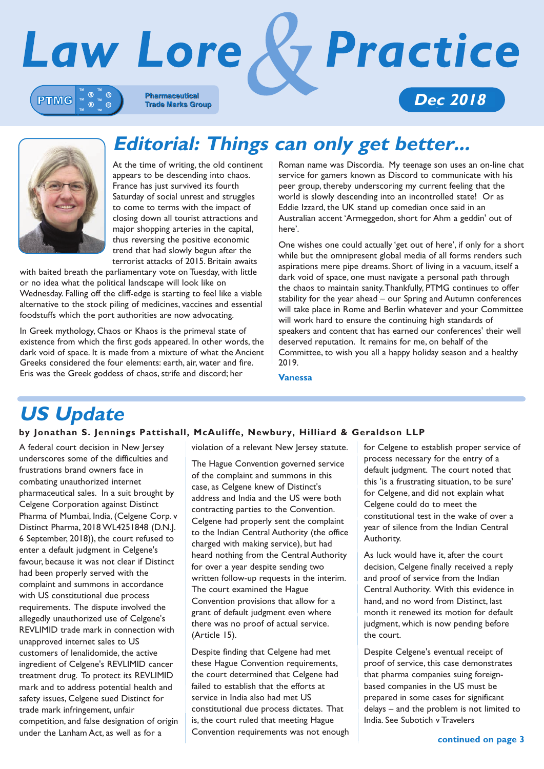



### **Editorial: Things can only get better...**

At the time of writing, the old continent appears to be descending into chaos. France has just survived its fourth Saturday of social unrest and struggles to come to terms with the impact of closing down all tourist attractions and major shopping arteries in the capital, thus reversing the positive economic trend that had slowly begun after the terrorist attacks of 2015. Britain awaits

with baited breath the parliamentary vote on Tuesday, with little or no idea what the political landscape will look like on Wednesday. Falling off the cliff-edge is starting to feel like a viable alternative to the stock piling of medicines, vaccines and essential foodstuffs which the port authorities are now advocating.

In Greek mythology, Chaos or Khaos is the primeval state of existence from which the first gods appeared. In other words, the dark void of space. It is made from a mixture of what the Ancient Greeks considered the four elements: earth, air, water and fire. Eris was the Greek goddess of chaos, strife and discord; her

Roman name was Discordia. My teenage son uses an on-line chat service for gamers known as Discord to communicate with his peer group, thereby underscoring my current feeling that the world is slowly descending into an incontrolled state! Or as Eddie Izzard, the UK stand up comedian once said in an Australian accent 'Armeggedon, short for Ahm a geddin' out of here'.

One wishes one could actually 'get out of here', if only for a short while but the omnipresent global media of all forms renders such aspirations mere pipe dreams. Short of living in a vacuum, itself a dark void of space, one must navigate a personal path through the chaos to maintain sanity. Thankfully, PTMG continues to offer stability for the year ahead – our Spring and Autumn conferences will take place in Rome and Berlin whatever and your Committee will work hard to ensure the continuing high standards of speakers and content that has earned our conferences' their well deserved reputation. It remains for me, on behalf of the Committee, to wish you all a happy holiday season and a healthy 2019.

**Vanessa**

### **US Update**

### **by Jonathan S. Jennings Pattishall, McAuliffe, Newbury, Hilliard & Geraldson LLP**

A federal court decision in New Jersey underscores some of the difficulties and frustrations brand owners face in combating unauthorized internet pharmaceutical sales. In a suit brought by Celgene Corporation against Distinct Pharma of Mumbai, India, (Celgene Corp. v Distinct Pharma, 2018 WL4251848 (D.N.J. 6 September, 2018)), the court refused to enter a default judgment in Celgene's favour, because it was not clear if Distinct had been properly served with the complaint and summons in accordance with US constitutional due process requirements. The dispute involved the allegedly unauthorized use of Celgene's REVLIMID trade mark in connection with unapproved internet sales to US customers of lenalidomide, the active ingredient of Celgene's REVLIMID cancer treatment drug. To protect its REVLIMID mark and to address potential health and safety issues, Celgene sued Distinct for trade mark infringement, unfair competition, and false designation of origin under the Lanham Act, as well as for a

violation of a relevant New Jersey statute.

The Hague Convention governed service of the complaint and summons in this case, as Celgene knew of Distinct's address and India and the US were both contracting parties to the Convention. Celgene had properly sent the complaint to the Indian Central Authority (the office charged with making service), but had heard nothing from the Central Authority for over a year despite sending two written follow-up requests in the interim. The court examined the Hague Convention provisions that allow for a grant of default judgment even where there was no proof of actual service. (Article 15).

Despite finding that Celgene had met these Hague Convention requirements, the court determined that Celgene had failed to establish that the efforts at service in India also had met US constitutional due process dictates. That is, the court ruled that meeting Hague Convention requirements was not enough for Celgene to establish proper service of process necessary for the entry of a default judgment. The court noted that this 'is a frustrating situation, to be sure' for Celgene, and did not explain what Celgene could do to meet the constitutional test in the wake of over a year of silence from the Indian Central Authority.

As luck would have it, after the court decision, Celgene finally received a reply and proof of service from the Indian Central Authority. With this evidence in hand, and no word from Distinct, last month it renewed its motion for default judgment, which is now pending before the court.

Despite Celgene's eventual receipt of proof of service, this case demonstrates that pharma companies suing foreignbased companies in the US must be prepared in some cases for significant delays – and the problem is not limited to India. See Subotich v Travelers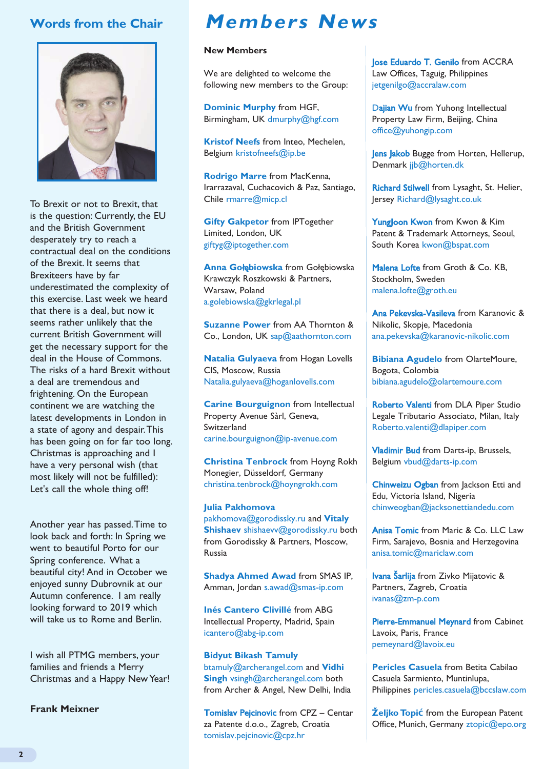### **Words from the Chair**



To Brexit or not to Brexit, that is the question: Currently, the EU and the British Government desperately try to reach a contractual deal on the conditions of the Brexit. It seems that Brexiteers have by far underestimated the complexity of this exercise. Last week we heard that there is a deal, but now it seems rather unlikely that the current British Government will get the necessary support for the deal in the House of Commons. The risks of a hard Brexit without a deal are tremendous and frightening. On the European continent we are watching the latest developments in London in a state of agony and despair. This has been going on for far too long. Christmas is approaching and I have a very personal wish (that most likely will not be fulfilled): Let's call the whole thing off!

Another year has passed. Time to look back and forth: In Spring we went to beautiful Porto for our Spring conference. What a beautiful city! And in October we enjoyed sunny Dubrovnik at our Autumn conference. I am really looking forward to 2019 which will take us to Rome and Berlin.

I wish all PTMG members, your families and friends a Merry Christmas and a Happy New Year!

**Frank Meixner**

### **Members News**

#### **New Members**

We are delighted to welcome the following new members to the Group:

**Dominic Murphy** from HGF, Birmingham, UK dmurphy@hgf.com

**Kristof Neefs** from Inteo, Mechelen, Belgium kristofneefs@ip.be

**Rodrigo Marre** from MacKenna, Irarrazaval, Cuchacovich & Paz, Santiago, Chile rmarre@micp.cl

**Gifty Gakpetor** from IPTogether Limited, London, UK giftyg@iptogether.com

**Anna Go**łę**biowska** from Gołębiowska Krawczyk Roszkowski & Partners, Warsaw, Poland a.golebiowska@gkrlegal.pl

**Suzanne Power** from AA Thornton & Co., London, UK sap@aathornton.com

**Natalia Gulyaeva** from Hogan Lovells CIS, Moscow, Russia Natalia.gulyaeva@hoganlovells.com

**Carine Bourguignon** from Intellectual Property Avenue Sàrl, Geneva, Switzerland carine.bourguignon@ip-avenue.com

**Christina Tenbrock** from Hoyng Rokh Monegier, Düsseldorf, Germany christina.tenbrock@hoyngrokh.com

**Julia Pakhomova** pakhomova@gorodissky.ru and **Vitaly Shishaev** shishaevv@gorodissky.ru both from Gorodissky & Partners, Moscow, Russia

**Shadya Ahmed Awad** from SMAS IP, Amman, Jordan s.awad@smas-ip.com

**Inés Cantero Clivillé** from ABG Intellectual Property, Madrid, Spain icantero@abg-ip.com

**Bidyut Bikash Tamuly** btamuly@archerangel.com and **Vidhi Singh** vsingh@archerangel.com both from Archer & Angel, New Delhi, India

Tomislav Pejcinovic from CPZ – Centar za Patente d.o.o., Zagreb, Croatia tomislav.pejcinovic@cpz.hr

Jose Eduardo T. Genilo from ACCRA Law Offices, Taguig, Philippines jetgenilgo@accralaw.com

Dajian Wu from Yuhong Intellectual Property Law Firm, Beijing, China office@yuhongip.com

Jens Jakob Bugge from Horten, Hellerup, Denmark jjb@horten.dk

Richard Stilwell from Lysaght, St. Helier, Jersey Richard@lysaght.co.uk

Yungloon Kwon from Kwon & Kim Patent & Trademark Attorneys, Seoul, South Korea kwon@bspat.com

Malena Lofte from Groth & Co. KB. Stockholm, Sweden malena.lofte@groth.eu

Ana Pekevska-Vasileva from Karanovic & Nikolic, Skopje, Macedonia ana.pekevska@karanovic-nikolic.com

**Bibiana Agudelo** from OlarteMoure, Bogota, Colombia bibiana.agudelo@olartemoure.com

Roberto Valenti from DLA Piper Studio Legale Tributario Associato, Milan, Italy Roberto.valenti@dlapiper.com

Vladimir Bud from Darts-ip, Brussels, Belgium vbud@darts-ip.com

Chinweizu Ogban from Jackson Etti and Edu, Victoria Island, Nigeria chinweogban@jacksonettiandedu.com

Anisa Tomic from Maric & Co. LLC Law Firm, Sarajevo, Bosnia and Herzegovina anisa.tomic@mariclaw.com

Ivana Šarlija from Zivko Mijatovic & Partners, Zagreb, Croatia ivanas@zm-p.com

Pierre-Emmanuel Meynard from Cabinet Lavoix, Paris, France pemeynard@lavoix.eu

**Pericles Casuela** from Betita Cabilao Casuela Sarmiento, Muntinlupa, Philippines pericles.casuela@bccslaw.com

**Željko Topić** from the European Patent Office, Munich, Germany ztopic@epo.org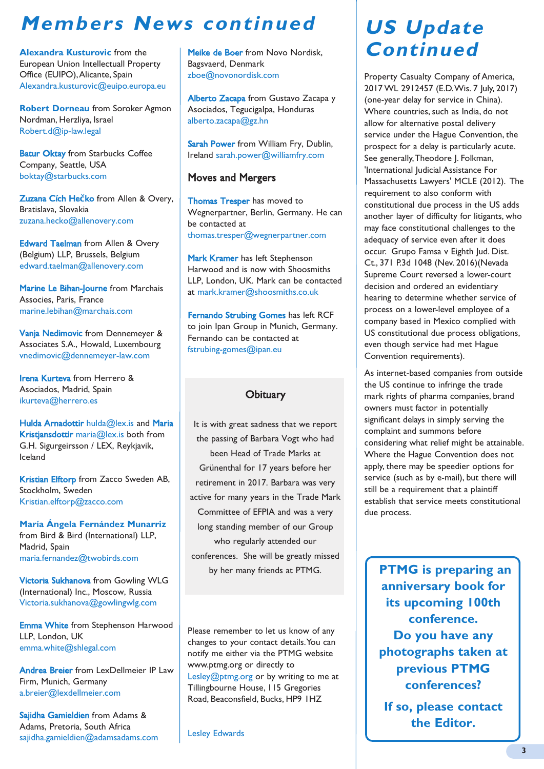### **Members News continued**

**Alexandra Kusturovic** from the European Union Intellectuall Property Office (EUIPO), Alicante, Spain Alexandra.kusturovic@euipo.europa.eu

**Robert Dorneau** from Soroker Agmon Nordman, Herzliya, Israel Robert.d@ip-law.legal

**Batur Oktay** from Starbucks Coffee Company, Seattle, USA boktay@starbucks.com

Zuzana Cích He**č**ko from Allen & Overy, Bratislava, Slovakia zuzana.hecko@allenovery.com

Edward Taelman from Allen & Overy (Belgium) LLP, Brussels, Belgium edward.taelman@allenovery.com

Marine Le Bihan-Journe from Marchais Associes, Paris, France marine.lebihan@marchais.com

Vanja Nedimovic from Dennemeyer & Associates S.A., Howald, Luxembourg vnedimovic@dennemeyer-law.com

Irena Kurteva from Herrero & Asociados, Madrid, Spain ikurteva@herrero.es

Hulda Arnadottir hulda@lex.is and Maria Kristjansdottir maria@lex.is both from G.H. Sigurgeirsson / LEX, Reykjavik, Iceland

Kristian Elftorp from Zacco Sweden AB, Stockholm, Sweden Kristian.elftorp@zacco.com

**María Ángela Fernández Munarriz** from Bird & Bird (International) LLP, Madrid, Spain maria.fernandez@twobirds.com

Victoria Sukhanova from Gowling WLG (International) Inc., Moscow, Russia Victoria.sukhanova@gowlingwlg.com

Emma White from Stephenson Harwood LLP, London, UK emma.white@shlegal.com

Andrea Breier from LexDellmeier IP Law Firm, Munich, Germany a.breier@lexdellmeier.com

Sajidha Gamieldien from Adams & Adams, Pretoria, South Africa sajidha.gamieldien@adamsadams.com Meike de Boer from Novo Nordisk, Bagsvaerd, Denmark zboe@novonordisk.com

Alberto Zacapa from Gustavo Zacapa y Asociados, Tegucigalpa, Honduras alberto.zacapa@gz.hn

Sarah Power from William Fry, Dublin, Ireland sarah.power@williamfry.com

### Moves and Mergers

Thomas Tresper has moved to Wegnerpartner, Berlin, Germany. He can be contacted at thomas.tresper@wegnerpartner.com

Mark Kramer has left Stephenson Harwood and is now with Shoosmiths LLP, London, UK. Mark can be contacted at mark.kramer@shoosmiths.co.uk

Fernando Strubing Gomes has left RCF to join Ipan Group in Munich, Germany. Fernando can be contacted at fstrubing-gomes@ipan.eu

### **Obituary**

It is with great sadness that we report the passing of Barbara Vogt who had been Head of Trade Marks at Grünenthal for 17 years before her retirement in 2017. Barbara was very active for many years in the Trade Mark Committee of EFPIA and was a very long standing member of our Group who regularly attended our conferences. She will be greatly missed by her many friends at PTMG.

Please remember to let us know of any changes to your contact details. You can notify me either via the PTMG website www.ptmg.org or directly to Lesley@ptmg.org or by writing to me at Tillingbourne House, 115 Gregories Road, Beaconsfield, Bucks, HP9 1HZ

Lesley Edwards

# **US Update Continued**

Property Casualty Company of America, 2017 WL 2912457 (E.D. Wis. 7 July, 2017) (one-year delay for service in China). Where countries, such as India, do not allow for alternative postal delivery service under the Hague Convention, the prospect for a delay is particularly acute. See generally, Theodore I. Folkman, 'International Judicial Assistance For Massachusetts Lawyers' MCLE (2012). The requirement to also conform with constitutional due process in the US adds another layer of difficulty for litigants, who may face constitutional challenges to the adequacy of service even after it does occur. Grupo Famsa v Eighth Jud. Dist. Ct., 371 P.3d 1048 (Nev. 2016)(Nevada Supreme Court reversed a lower-court decision and ordered an evidentiary hearing to determine whether service of process on a lower-level employee of a company based in Mexico complied with US constitutional due process obligations, even though service had met Hague Convention requirements).

As internet-based companies from outside the US continue to infringe the trade mark rights of pharma companies, brand owners must factor in potentially significant delays in simply serving the complaint and summons before considering what relief might be attainable. Where the Hague Convention does not apply, there may be speedier options for service (such as by e-mail), but there will still be a requirement that a plaintiff establish that service meets constitutional due process.

**PTMG is preparing an anniversary book for its upcoming 100th conference. Do you have any photographs taken at previous PTMG conferences?** 

**If so, please contact the Editor.**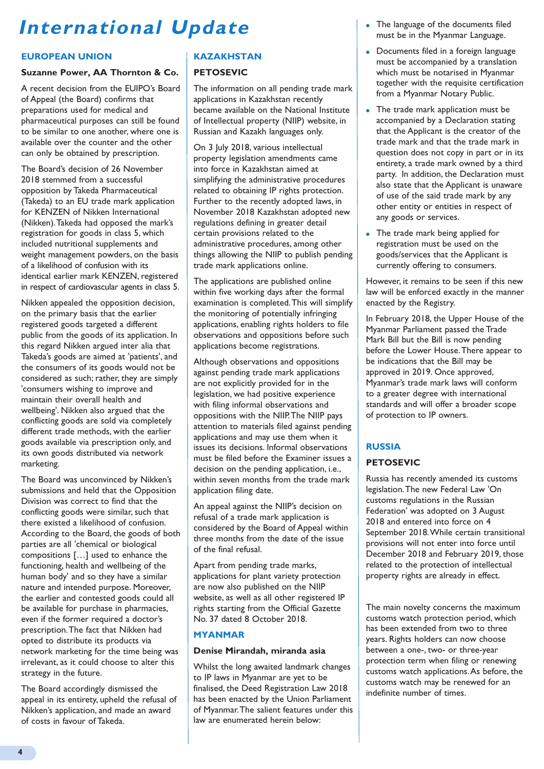# **International Update**

### **EUROPEAN UNION**

### **Suzanne Power, AA Thornton & Co.**

A recent decision from the EUIPO's Board of Appeal (the Board) confirms that preparations used for medical and pharmaceutical purposes can still be found to be similar to one another, where one is available over the counter and the other can only be obtained by prescription.

The Board's decision of 26 November 2018 stemmed from a successful opposition by Takeda Pharmaceutical (Takeda) to an EU trade mark application for KENZEN of Nikken International (Nikken). Takeda had opposed the mark's registration for goods in class 5, which included nutritional supplements and weight management powders, on the basis of a likelihood of confusion with its identical earlier mark KENZEN, registered in respect of cardiovascular agents in class 5.

Nikken appealed the opposition decision, on the primary basis that the earlier registered goods targeted a different public from the goods of its application. In this regard Nikken argued inter alia that Takeda's goods are aimed at 'patients', and the consumers of its goods would not be considered as such; rather, they are simply 'consumers wishing to improve and maintain their overall health and wellbeing'. Nikken also argued that the conflicting goods are sold via completely different trade methods, with the earlier goods available via prescription only, and its own goods distributed via network marketing.

The Board was unconvinced by Nikken's submissions and held that the Opposition Division was correct to find that the conflicting goods were similar, such that there existed a likelihood of confusion. According to the Board, the goods of both parties are all 'chemical or biological compositions […] used to enhance the functioning, health and wellbeing of the human body' and so they have a similar nature and intended purpose. Moreover, the earlier and contested goods could all be available for purchase in pharmacies, even if the former required a doctor's prescription. The fact that Nikken had opted to distribute its products via network marketing for the time being was irrelevant, as it could choose to alter this strategy in the future.

The Board accordingly dismissed the appeal in its entirety, upheld the refusal of Nikken's application, and made an award of costs in favour of Takeda.

### **KAZAKHSTAN**

#### **PETOSEVIC**

The information on all pending trade mark applications in Kazakhstan recently became available on the National Institute of Intellectual property (NIIP) website, in Russian and Kazakh languages only.

On 3 July 2018, various intellectual property legislation amendments came into force in Kazakhstan aimed at simplifying the administrative procedures related to obtaining IP rights protection. Further to the recently adopted laws, in November 2018 Kazakhstan adopted new regulations defining in greater detail certain provisions related to the administrative procedures, among other things allowing the NIIP to publish pending trade mark applications online.

The applications are published online within five working days after the formal examination is completed. This will simplify the monitoring of potentially infringing applications, enabling rights holders to file observations and oppositions before such applications become registrations.

Although observations and oppositions against pending trade mark applications are not explicitly provided for in the legislation, we had positive experience with filing informal observations and oppositions with the NIIP. The NIIP pays attention to materials filed against pending applications and may use them when it issues its decisions. Informal observations must be filed before the Examiner issues a decision on the pending application, i.e., within seven months from the trade mark application filing date.

An appeal against the NIIP's decision on refusal of a trade mark application is considered by the Board of Appeal within three months from the date of the issue of the final refusal.

Apart from pending trade marks, applications for plant variety protection are now also published on the NIIP website, as well as all other registered IP rights starting from the Official Gazette No. 37 dated 8 October 2018.

### **MYANMAR**

#### **Denise Mirandah, miranda asia**

Whilst the long awaited landmark changes to IP laws in Myanmar are yet to be finalised, the Deed Registration Law 2018 has been enacted by the Union Parliament of Myanmar. The salient features under this law are enumerated herein below:

- The language of the documents filed must be in the Myanmar Language.
- Documents filed in a foreign language must be accompanied by a translation which must be notarised in Myanmar together with the requisite certification from a Myanmar Notary Public.
- The trade mark application must be accompanied by a Declaration stating that the Applicant is the creator of the trade mark and that the trade mark in question does not copy in part or in its entirety, a trade mark owned by a third party. In addition, the Declaration must also state that the Applicant is unaware of use of the said trade mark by any other entity or entities in respect of any goods or services.
- The trade mark being applied for registration must be used on the goods/services that the Applicant is currently offering to consumers.

However, it remains to be seen if this new law will be enforced exactly in the manner enacted by the Registry.

In February 2018, the Upper House of the Myanmar Parliament passed the Trade Mark Bill but the Bill is now pending before the Lower House. There appear to be indications that the Bill may be approved in 2019. Once approved, Myanmar's trade mark laws will conform to a greater degree with international standards and will offer a broader scope of protection to IP owners.

### **RUSSIA**

#### **PETOSEVIC**

Russia has recently amended its customs legislation. The new Federal Law 'On customs regulations in the Russian Federation' was adopted on 3 August 2018 and entered into force on 4 September 2018. While certain transitional provisions will not enter into force until December 2018 and February 2019, those related to the protection of intellectual property rights are already in effect.

The main novelty concerns the maximum customs watch protection period, which has been extended from two to three years. Rights holders can now choose between a one-, two- or three-year protection term when filing or renewing customs watch applications. As before, the customs watch may be renewed for an indefinite number of times.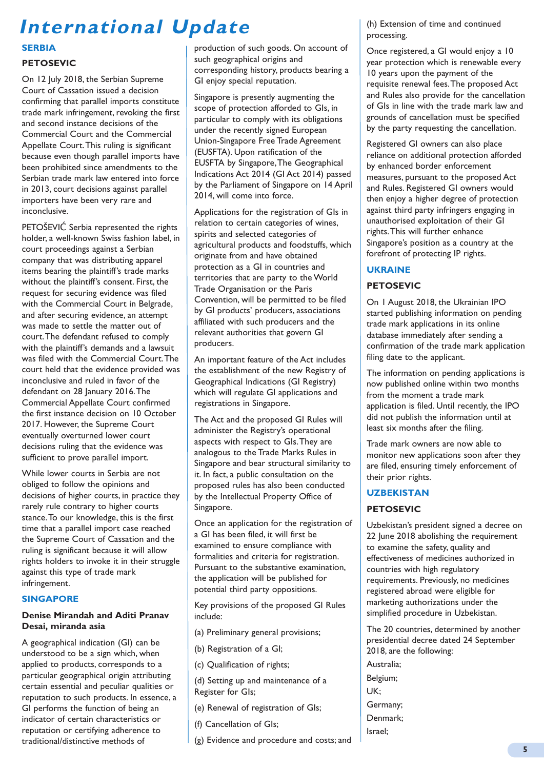# **International Update**

### **SERBIA**

### **PETOSEVIC**

On 12 July 2018, the Serbian Supreme Court of Cassation issued a decision confirming that parallel imports constitute trade mark infringement, revoking the first and second instance decisions of the Commercial Court and the Commercial Appellate Court. This ruling is significant because even though parallel imports have been prohibited since amendments to the Serbian trade mark law entered into force in 2013, court decisions against parallel importers have been very rare and inconclusive.

PETOŠEVIĆ Serbia represented the rights holder, a well-known Swiss fashion label, in court proceedings against a Serbian company that was distributing apparel items bearing the plaintiff's trade marks without the plaintiff's consent. First, the request for securing evidence was filed with the Commercial Court in Belgrade, and after securing evidence, an attempt was made to settle the matter out of court. The defendant refused to comply with the plaintiff's demands and a lawsuit was filed with the Commercial Court. The court held that the evidence provided was inconclusive and ruled in favor of the defendant on 28 January 2016. The Commercial Appellate Court confirmed the first instance decision on 10 October 2017. However, the Supreme Court eventually overturned lower court decisions ruling that the evidence was sufficient to prove parallel import.

While lower courts in Serbia are not obliged to follow the opinions and decisions of higher courts, in practice they rarely rule contrary to higher courts stance. To our knowledge, this is the first time that a parallel import case reached the Supreme Court of Cassation and the ruling is significant because it will allow rights holders to invoke it in their struggle against this type of trade mark infringement.

### **SINGAPORE**

### **Denise Mirandah and Aditi Pranav Desai, miranda asia**

A geographical indication (GI) can be understood to be a sign which, when applied to products, corresponds to a particular geographical origin attributing certain essential and peculiar qualities or reputation to such products. In essence, a GI performs the function of being an indicator of certain characteristics or reputation or certifying adherence to traditional/distinctive methods of

production of such goods. On account of such geographical origins and corresponding history, products bearing a GI enjoy special reputation.

Singapore is presently augmenting the scope of protection afforded to GIs, in particular to comply with its obligations under the recently signed European Union-Singapore Free Trade Agreement (EUSFTA). Upon ratification of the EUSFTA by Singapore, The Geographical Indications Act 2014 (GI Act 2014) passed by the Parliament of Singapore on 14 April 2014, will come into force.

Applications for the registration of GIs in relation to certain categories of wines, spirits and selected categories of agricultural products and foodstuffs, which originate from and have obtained protection as a GI in countries and territories that are party to the World Trade Organisation or the Paris Convention, will be permitted to be filed by GI products' producers, associations affiliated with such producers and the relevant authorities that govern GI producers.

An important feature of the Act includes the establishment of the new Registry of Geographical Indications (GI Registry) which will regulate GI applications and registrations in Singapore.

The Act and the proposed GI Rules will administer the Registry's operational aspects with respect to GIs. They are analogous to the Trade Marks Rules in Singapore and bear structural similarity to it. In fact, a public consultation on the proposed rules has also been conducted by the Intellectual Property Office of Singapore.

Once an application for the registration of a GI has been filed, it will first be examined to ensure compliance with formalities and criteria for registration. Pursuant to the substantive examination, the application will be published for potential third party oppositions.

Key provisions of the proposed GI Rules include:

- (a) Preliminary general provisions;
- (b) Registration of a GI;
- (c) Qualification of rights;

(d) Setting up and maintenance of a Register for GIs;

- (e) Renewal of registration of GIs;
- (f) Cancellation of GIs;
- (g) Evidence and procedure and costs; and

(h) Extension of time and continued processing.

Once registered, a GI would enjoy a 10 year protection which is renewable every 10 years upon the payment of the requisite renewal fees. The proposed Act and Rules also provide for the cancellation of GIs in line with the trade mark law and grounds of cancellation must be specified by the party requesting the cancellation.

Registered GI owners can also place reliance on additional protection afforded by enhanced border enforcement measures, pursuant to the proposed Act and Rules. Registered GI owners would then enjoy a higher degree of protection against third party infringers engaging in unauthorised exploitation of their GI rights. This will further enhance Singapore's position as a country at the forefront of protecting IP rights.

### **UKRAINE**

### **PETOSEVIC**

On 1 August 2018, the Ukrainian IPO started publishing information on pending trade mark applications in its online database immediately after sending a confirmation of the trade mark application filing date to the applicant.

The information on pending applications is now published online within two months from the moment a trade mark application is filed. Until recently, the IPO did not publish the information until at least six months after the filing.

Trade mark owners are now able to monitor new applications soon after they are filed, ensuring timely enforcement of their prior rights.

### **UZBEKISTAN**

### **PETOSEVIC**

Uzbekistan's president signed a decree on 22 June 2018 abolishing the requirement to examine the safety, quality and effectiveness of medicines authorized in countries with high regulatory requirements. Previously, no medicines registered abroad were eligible for marketing authorizations under the simplified procedure in Uzbekistan.

The 20 countries, determined by another presidential decree dated 24 September 2018, are the following:

Australia; Belgium; UK; Germany; Denmark; Israel;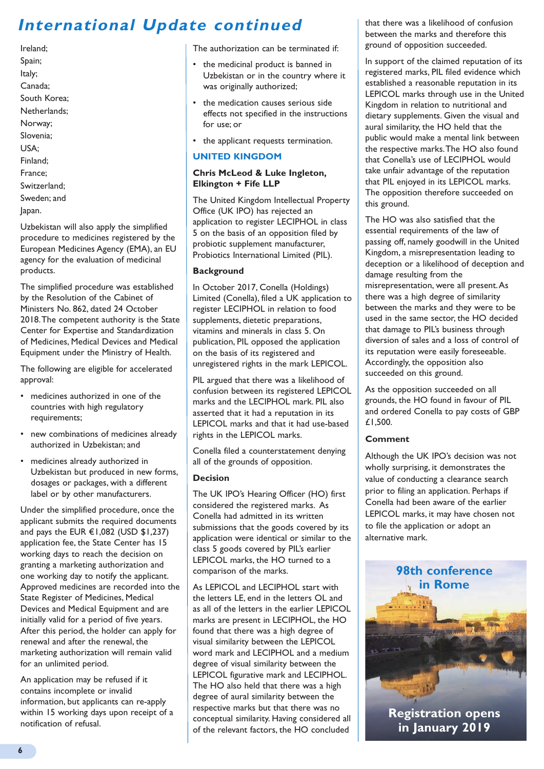### **International Update continued**

Ireland; Spain; Italy; Canada; South Korea; Netherlands; Norway; Slovenia; USA; Finland; France; Switzerland; Sweden; and Japan.

Uzbekistan will also apply the simplified procedure to medicines registered by the European Medicines Agency (EMA), an EU agency for the evaluation of medicinal products.

The simplified procedure was established by the Resolution of the Cabinet of Ministers No. 862, dated 24 October 2018. The competent authority is the State Center for Expertise and Standardization of Medicines, Medical Devices and Medical Equipment under the Ministry of Health.

The following are eligible for accelerated approval:

- medicines authorized in one of the countries with high regulatory requirements;
- new combinations of medicines already authorized in Uzbekistan; and
- medicines already authorized in Uzbekistan but produced in new forms, dosages or packages, with a different label or by other manufacturers.

Under the simplified procedure, once the applicant submits the required documents and pays the EUR €1,082 (USD \$1,237) application fee, the State Center has 15 working days to reach the decision on granting a marketing authorization and one working day to notify the applicant. Approved medicines are recorded into the State Register of Medicines, Medical Devices and Medical Equipment and are initially valid for a period of five years. After this period, the holder can apply for renewal and after the renewal, the marketing authorization will remain valid for an unlimited period.

An application may be refused if it contains incomplete or invalid information, but applicants can re-apply within 15 working days upon receipt of a notification of refusal.

The authorization can be terminated if:

- the medicinal product is banned in Uzbekistan or in the country where it was originally authorized;
- the medication causes serious side effects not specified in the instructions for use; or
- the applicant requests termination.

### **UNITED KINGDOM**

### **Chris McLeod & Luke Ingleton, Elkington + Fife LLP**

The United Kingdom Intellectual Property Office (UK IPO) has rejected an application to register LECIPHOL in class 5 on the basis of an opposition filed by probiotic supplement manufacturer, Probiotics International Limited (PIL).

### **Background**

In October 2017, Conella (Holdings) Limited (Conella), filed a UK application to register LECIPHOL in relation to food supplements, dietetic preparations, vitamins and minerals in class 5. On publication, PIL opposed the application on the basis of its registered and unregistered rights in the mark LEPICOL.

PIL argued that there was a likelihood of confusion between its registered LEPICOL marks and the LECIPHOL mark. PIL also asserted that it had a reputation in its LEPICOL marks and that it had use-based rights in the LEPICOL marks.

Conella filed a counterstatement denying all of the grounds of opposition.

### **Decision**

The UK IPO's Hearing Officer (HO) first considered the registered marks. As Conella had admitted in its written submissions that the goods covered by its application were identical or similar to the class 5 goods covered by PIL's earlier LEPICOL marks, the HO turned to a comparison of the marks.

As LEPICOL and LECIPHOL start with the letters LE, end in the letters OL and as all of the letters in the earlier LEPICOL marks are present in LECIPHOL, the HO found that there was a high degree of visual similarity between the LEPICOL word mark and LECIPHOL and a medium degree of visual similarity between the LEPICOL figurative mark and LECIPHOL. The HO also held that there was a high degree of aural similarity between the respective marks but that there was no conceptual similarity. Having considered all of the relevant factors, the HO concluded

that there was a likelihood of confusion between the marks and therefore this ground of opposition succeeded.

In support of the claimed reputation of its registered marks, PIL filed evidence which established a reasonable reputation in its LEPICOL marks through use in the United Kingdom in relation to nutritional and dietary supplements. Given the visual and aural similarity, the HO held that the public would make a mental link between the respective marks. The HO also found that Conella's use of LECIPHOL would take unfair advantage of the reputation that PIL enjoyed in its LEPICOL marks. The opposition therefore succeeded on this ground.

The HO was also satisfied that the essential requirements of the law of passing off, namely goodwill in the United Kingdom, a misrepresentation leading to deception or a likelihood of deception and damage resulting from the misrepresentation, were all present. As there was a high degree of similarity between the marks and they were to be used in the same sector, the HO decided that damage to PIL's business through diversion of sales and a loss of control of its reputation were easily foreseeable. Accordingly, the opposition also succeeded on this ground.

As the opposition succeeded on all grounds, the HO found in favour of PIL and ordered Conella to pay costs of GBP £1,500.

### **Comment**

Although the UK IPO's decision was not wholly surprising, it demonstrates the value of conducting a clearance search prior to filing an application. Perhaps if Conella had been aware of the earlier LEPICOL marks, it may have chosen not to file the application or adopt an alternative mark.



**6**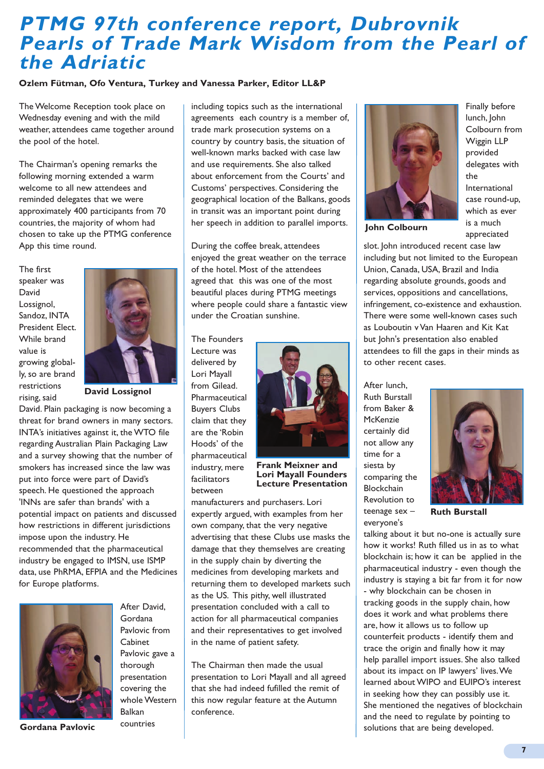### **PTMG 97th conference report, Dubrovnik Pearls of Trade Mark Wisdom from the Pearl of the Adriatic**

#### **Ozlem Fütman, Ofo Ventura, Turkey and Vanessa Parker, Editor LL&P**

The Welcome Reception took place on Wednesday evening and with the mild weather, attendees came together around the pool of the hotel.

The Chairman's opening remarks the following morning extended a warm welcome to all new attendees and reminded delegates that we were approximately 400 participants from 70 countries, the majority of whom had chosen to take up the PTMG conference App this time round.

The first speaker was David Lossignol, Sandoz, INTA President Elect. While brand value is growing globally, so are brand restrictions rising, said



**David Lossignol**

David. Plain packaging is now becoming a threat for brand owners in many sectors. INTA's initiatives against it, the WTO file regarding Australian Plain Packaging Law and a survey showing that the number of smokers has increased since the law was put into force were part of David's speech. He questioned the approach 'INNs are safer than brands' with a potential impact on patients and discussed how restrictions in different jurisdictions impose upon the industry. He recommended that the pharmaceutical industry be engaged to IMSN, use ISMP data, use PhRMA, EFPIA and the Medicines for Europe platforms.



**Gordana Pavlovic**

After David, Gordana Pavlovic from Cabinet Pavlovic gave a thorough presentation covering the whole Western Balkan countries

including topics such as the international agreements each country is a member of, trade mark prosecution systems on a country by country basis, the situation of well-known marks backed with case law and use requirements. She also talked about enforcement from the Courts' and Customs' perspectives. Considering the geographical location of the Balkans, goods in transit was an important point during her speech in addition to parallel imports.

During the coffee break, attendees enjoyed the great weather on the terrace of the hotel. Most of the attendees agreed that this was one of the most beautiful places during PTMG meetings where people could share a fantastic view under the Croatian sunshine.

The Founders Lecture was delivered by Lori Mayall from Gilead. Pharmaceutical Buyers Clubs claim that they are the 'Robin Hoods' of the pharmaceutical industry, mere facilitators between



**Frank Meixner and Lori Mayall Founders Lecture Presentation**

manufacturers and purchasers. Lori expertly argued, with examples from her own company, that the very negative advertising that these Clubs use masks the damage that they themselves are creating in the supply chain by diverting the medicines from developing markets and returning them to developed markets such as the US. This pithy, well illustrated presentation concluded with a call to action for all pharmaceutical companies and their representatives to get involved in the name of patient safety.

The Chairman then made the usual presentation to Lori Mayall and all agreed that she had indeed fufilled the remit of this now regular feature at the Autumn conference.



Finally before lunch, John Colbourn from Wiggin LLP provided delegates with the International case round-up, which as ever is a much appreciated

**John Colbourn**

slot. John introduced recent case law including but not limited to the European Union, Canada, USA, Brazil and India regarding absolute grounds, goods and services, oppositions and cancellations, infringement, co-existence and exhaustion. There were some well-known cases such as Louboutin v Van Haaren and Kit Kat but John's presentation also enabled attendees to fill the gaps in their minds as to other recent cases.

After lunch, Ruth Burstall from Baker & McKenzie certainly did not allow any time for a siesta by comparing the Blockchain Revolution to teenage sex – everyone's



**Ruth Burstall**

talking about it but no-one is actually sure how it works! Ruth filled us in as to what blockchain is; how it can be applied in the pharmaceutical industry - even though the industry is staying a bit far from it for now - why blockchain can be chosen in tracking goods in the supply chain, how does it work and what problems there are, how it allows us to follow up counterfeit products - identify them and trace the origin and finally how it may help parallel import issues. She also talked about its impact on IP lawyers' lives. We learned about WIPO and EUIPO's interest in seeking how they can possibly use it. She mentioned the negatives of blockchain and the need to regulate by pointing to solutions that are being developed.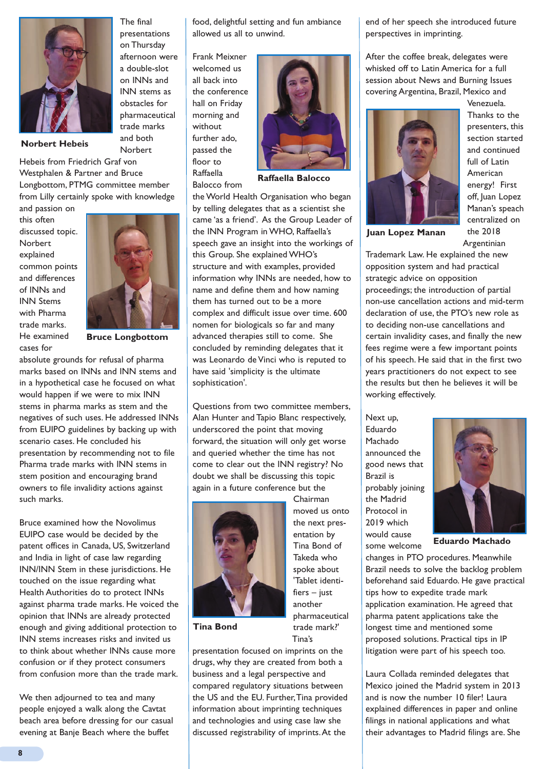

The final presentations on Thursday afternoon were a double-slot on INNs and INN stems as obstacles for pharmaceutical trade marks and both Norbert

**Norbert Hebeis**

Hebeis from Friedrich Graf von Westphalen & Partner and Bruce Longbottom, PTMG committee member from Lilly certainly spoke with knowledge

and passion on this often discussed topic. **Norbert** explained common points and differences of INNs and INN Stems with Pharma trade marks. He examined cases for



**Bruce Longbottom**

absolute grounds for refusal of pharma marks based on INNs and INN stems and in a hypothetical case he focused on what would happen if we were to mix INN stems in pharma marks as stem and the negatives of such uses. He addressed INNs from EUIPO guidelines by backing up with scenario cases. He concluded his presentation by recommending not to file Pharma trade marks with INN stems in stem position and encouraging brand owners to file invalidity actions against such marks.

Bruce examined how the Novolimus EUIPO case would be decided by the patent offices in Canada, US, Switzerland and India in light of case law regarding INN/INN Stem in these jurisdictions. He touched on the issue regarding what Health Authorities do to protect INNs against pharma trade marks. He voiced the opinion that INNs are already protected enough and giving additional protection to INN stems increases risks and invited us to think about whether INNs cause more confusion or if they protect consumers from confusion more than the trade mark.

We then adjourned to tea and many people enjoyed a walk along the Cavtat beach area before dressing for our casual evening at Banje Beach where the buffet

food, delightful setting and fun ambiance allowed us all to unwind.

Frank Meixner welcomed us all back into the conference hall on Friday morning and without further ado, passed the floor to Raffaella Balocco from



**Raffaella Balocco**

the World Health Organisation who began by telling delegates that as a scientist she came 'as a friend'. As the Group Leader of the INN Program in WHO, Raffaella's speech gave an insight into the workings of this Group. She explained WHO's structure and with examples, provided information why INNs are needed, how to name and define them and how naming them has turned out to be a more complex and difficult issue over time. 600 nomen for biologicals so far and many advanced therapies still to come. She concluded by reminding delegates that it was Leonardo de Vinci who is reputed to have said 'simplicity is the ultimate sophistication'.

Questions from two committee members, Alan Hunter and Tapio Blanc respectively, underscored the point that moving forward, the situation will only get worse and queried whether the time has not come to clear out the INN registry? No doubt we shall be discussing this topic again in a future conference but the



**Tina Bond**

entation by Tina Bond of Takeda who spoke about 'Tablet identi $fiers - just$ another pharmaceutical trade mark?' Tina's

Chairman moved us onto the next pres-

presentation focused on imprints on the drugs, why they are created from both a business and a legal perspective and compared regulatory situations between the US and the EU. Further, Tina provided information about imprinting techniques and technologies and using case law she discussed registrability of imprints. At the

end of her speech she introduced future perspectives in imprinting.

After the coffee break, delegates were whisked off to Latin America for a full session about News and Burning Issues covering Argentina, Brazil, Mexico and

Venezuela.



Thanks to the presenters, this section started and continued full of Latin American energy! First off, Juan Lopez Manan's speach centralized on the 2018 Argentinian

**Juan Lopez Manan**

Trademark Law. He explained the new opposition system and had practical strategic advice on opposition proceedings; the introduction of partial non-use cancellation actions and mid-term declaration of use, the PTO's new role as to deciding non-use cancellations and certain invalidity cases, and finally the new fees regime were a few important points of his speech. He said that in the first two years practitioners do not expect to see the results but then he believes it will be working effectively.

Next up, Eduardo Machado announced the good news that Brazil is probably joining the Madrid Protocol in 2019 which would cause some welcome



**Eduardo Machado** 

changes in PTO procedures. Meanwhile Brazil needs to solve the backlog problem beforehand said Eduardo. He gave practical tips how to expedite trade mark application examination. He agreed that pharma patent applications take the longest time and mentioned some proposed solutions. Practical tips in IP litigation were part of his speech too.

Laura Collada reminded delegates that Mexico joined the Madrid system in 2013 and is now the number 10 filer! Laura explained differences in paper and online filings in national applications and what their advantages to Madrid filings are. She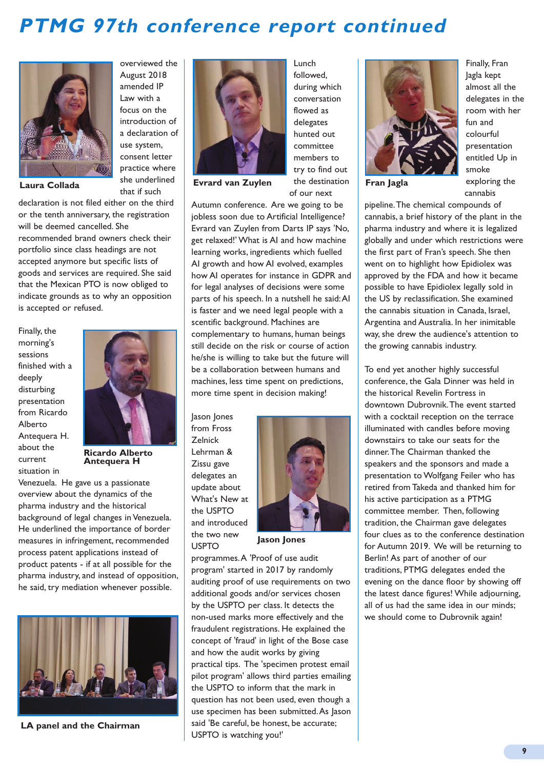## **PTMG 97th conference report continued**



declaration is not filed either on the third or the tenth anniversary, the registration will be deemed cancelled. She recommended brand owners check their portfolio since class headings are not accepted anymore but specific lists of goods and services are required. She said that the Mexican PTO is now obliged to indicate grounds as to why an opposition is accepted or refused.

Finally, the morning's sessions finished with a deeply disturbing presentation from Ricardo Alberto Antequera H. about the current situation in



overviewed the August 2018 amended IP Law with a focus on the introduction of a declaration of use system, consent letter practice where she underlined that if such

**Ricardo Alberto Antequera H**

Venezuela. He gave us a passionate overview about the dynamics of the pharma industry and the historical background of legal changes in Venezuela. He underlined the importance of border measures in infringement, recommended process patent applications instead of product patents - if at all possible for the pharma industry, and instead of opposition, he said, try mediation whenever possible.



**LA panel and the Chairman**



**Laura Collada Fran Jagla Evrard van Zuylen**

during which conversation flowed as delegates hunted out committee members to try to find out the destination of our next

Lunch followed,

Autumn conference. Are we going to be jobless soon due to Artificial Intelligence? Evrard van Zuylen from Darts IP says 'No, get relaxed!' What is AI and how machine learning works, ingredients which fuelled AI growth and how AI evolved, examples how AI operates for instance in GDPR and for legal analyses of decisions were some parts of his speech. In a nutshell he said: AI is faster and we need legal people with a scentific background. Machines are complementary to humans, human beings still decide on the risk or course of action he/she is willing to take but the future will be a collaboration between humans and machines, less time spent on predictions, more time spent in decision making!

Jason Jones from Fross Zelnick Lehrman & Zissu gave delegates an update about What's New at the USPTO and introduced the two new USPTO



**Jason Jones**

programmes. A 'Proof of use audit program' started in 2017 by randomly auditing proof of use requirements on two additional goods and/or services chosen by the USPTO per class. It detects the non-used marks more effectively and the fraudulent registrations. He explained the concept of 'fraud' in light of the Bose case and how the audit works by giving practical tips. The 'specimen protest email pilot program' allows third parties emailing the USPTO to inform that the mark in question has not been used, even though a use specimen has been submitted. As Jason said 'Be careful, be honest, be accurate; USPTO is watching you!'



Finally, Fran Jagla kept almost all the delegates in the room with her fun and colourful presentation entitled Up in smoke exploring the cannabis

pipeline. The chemical compounds of cannabis, a brief history of the plant in the pharma industry and where it is legalized globally and under which restrictions were the first part of Fran's speech. She then went on to highlight how Epidiolex was approved by the FDA and how it became possible to have Epidiolex legally sold in the US by reclassification. She examined the cannabis situation in Canada, Israel, Argentina and Australia. In her inimitable way, she drew the audience's attention to the growing cannabis industry.

To end yet another highly successful conference, the Gala Dinner was held in the historical Revelin Fortress in downtown Dubrovnik. The event started with a cocktail reception on the terrace illuminated with candles before moving downstairs to take our seats for the dinner. The Chairman thanked the speakers and the sponsors and made a presentation to Wolfgang Feiler who has retired from Takeda and thanked him for his active participation as a PTMG committee member. Then, following tradition, the Chairman gave delegates four clues as to the conference destination for Autumn 2019. We will be returning to Berlin! As part of another of our traditions, PTMG delegates ended the evening on the dance floor by showing off the latest dance figures! While adjourning, all of us had the same idea in our minds; we should come to Dubrovnik again!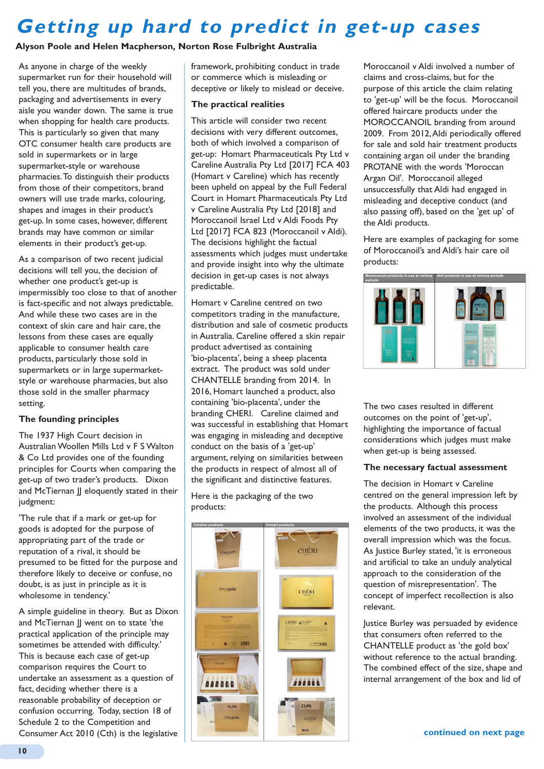# **Getting up hard to predict in get-up cases**

### **Alyson Poole and Helen Macpherson, Norton Rose Fulbright Australia**

As anyone in charge of the weekly supermarket run for their household will tell you, there are multitudes of brands, packaging and advertisements in every aisle you wander down. The same is true when shopping for health care products. This is particularly so given that many OTC consumer health care products are sold in supermarkets or in large supermarket-style or warehouse pharmacies. To distinguish their products from those of their competitors, brand owners will use trade marks, colouring, shapes and images in their product's get-up. In some cases, however, different brands may have common or similar elements in their product's get-up.

As a comparison of two recent judicial decisions will tell you, the decision of whether one product's get-up is impermissibly too close to that of another is fact-specific and not always predictable. And while these two cases are in the context of skin care and hair care, the lessons from these cases are equally applicable to consumer health care products, particularly those sold in supermarkets or in large supermarketstyle or warehouse pharmacies, but also those sold in the smaller pharmacy setting.

#### **The founding principles**

The 1937 High Court decision in Australian Woollen Mills Ltd v F S Walton & Co Ltd provides one of the founding principles for Courts when comparing the get-up of two trader's products. Dixon and McTiernan JJ eloquently stated in their judgment:

'The rule that if a mark or get-up for goods is adopted for the purpose of appropriating part of the trade or reputation of a rival, it should be presumed to be fitted for the purpose and therefore likely to deceive or confuse, no doubt, is as just in principle as it is wholesome in tendency.'

A simple guideline in theory. But as Dixon and McTiernan || went on to state 'the practical application of the principle may sometimes be attended with difficulty.' This is because each case of get-up comparison requires the Court to undertake an assessment as a question of fact, deciding whether there is a reasonable probability of deception or confusion occurring. Today, section 18 of Schedule 2 to the Competition and Consumer Act 2010 (Cth) is the legislative

framework, prohibiting conduct in trade or commerce which is misleading or deceptive or likely to mislead or deceive.

#### **The practical realities**

This article will consider two recent decisions with very different outcomes, both of which involved a comparison of get-up: Homart Pharmaceuticals Pty Ltd v Careline Australia Pty Ltd [2017] FCA 403 (Homart v Careline) which has recently been upheld on appeal by the Full Federal Court in Homart Pharmaceuticals Pty Ltd v Careline Australia Pty Ltd [2018] and Moroccanoil Israel Ltd v Aldi Foods Pty Ltd [2017] FCA 823 (Moroccanoil v Aldi). The decisions highlight the factual assessments which judges must undertake and provide insight into why the ultimate decision in get-up cases is not always predictable.

Homart v Careline centred on two competitors trading in the manufacture, distribution and sale of cosmetic products in Australia. Careline offered a skin repair product advertised as containing 'bio-placenta', being a sheep placenta extract. The product was sold under CHANTELLE branding from 2014. In 2016, Homart launched a product, also containing 'bio-placenta', under the branding CHERI. Careline claimed and was successful in establishing that Homart was engaging in misleading and deceptive conduct on the basis of a 'get-up' argument, relying on similarities between the products in respect of almost all of the significant and distinctive features.

Here is the packaging of the two products:



Moroccanoil v Aldi involved a number of claims and cross-claims, but for the purpose of this article the claim relating to 'get-up' will be the focus. Moroccanoil offered haircare products under the MOROCCANOIL branding from around 2009. From 2012, Aldi periodically offered for sale and sold hair treatment products containing argan oil under the branding PROTANE with the words 'Moroccan Argan Oil'. Moroccanoil alleged unsuccessfully that Aldi had engaged in misleading and deceptive conduct (and also passing off), based on the 'get up' of the Aldi products.

Here are examples of packaging for some of Moroccanoil's and Aldi's hair care oil products:



The two cases resulted in different outcomes on the point of 'get-up', highlighting the importance of factual considerations which judges must make when get-up is being assessed.  $\,$  -

### The necessary factual assessment

The decision in Homart v Careline centred on the general impression left by the products. Although this process involved an assessment of the individual elements of the two products, it was the overall impression which was the focus. As Justice Burley stated, 'it is erroneous and artificial to take an unduly analytical approach to the consideration of the question of misrepresentation'. The concept of imperfect recollection is also relevant.

Justice Burley was persuaded by evidence that consumers often referred to the CHANTELLE product as 'the gold box' without reference to the actual branding. The combined effect of the size, shape and internal arrangement of the box and lid of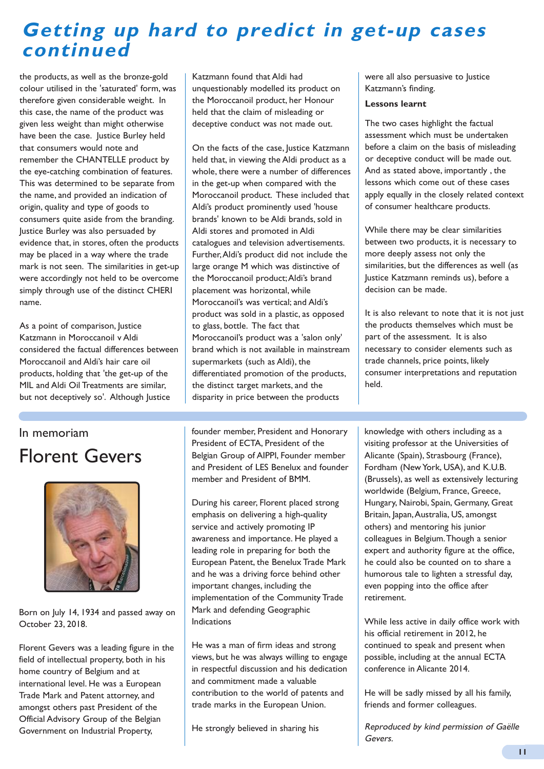### **Getting up hard to predict in get-up cases continued**

the products, as well as the bronze-gold colour utilised in the 'saturated' form, was therefore given considerable weight. In this case, the name of the product was given less weight than might otherwise have been the case. Justice Burley held that consumers would note and remember the CHANTELLE product by the eye-catching combination of features. This was determined to be separate from the name, and provided an indication of origin, quality and type of goods to consumers quite aside from the branding. Justice Burley was also persuaded by evidence that, in stores, often the products may be placed in a way where the trade mark is not seen. The similarities in get-up were accordingly not held to be overcome simply through use of the distinct CHERI name.

As a point of comparison, lustice Katzmann in Moroccanoil v Aldi considered the factual differences between Moroccanoil and Aldi's hair care oil products, holding that 'the get-up of the MIL and Aldi Oil Treatments are similar, but not deceptively so'. Although lustice

### In memoriam

## Florent Gevers



Born on July 14, 1934 and passed away on October 23, 2018.

Florent Gevers was a leading figure in the field of intellectual property, both in his home country of Belgium and at international level. He was a European Trade Mark and Patent attorney, and amongst others past President of the Official Advisory Group of the Belgian Government on Industrial Property,

Katzmann found that Aldi had unquestionably modelled its product on the Moroccanoil product, her Honour held that the claim of misleading or deceptive conduct was not made out.

On the facts of the case, Justice Katzmann held that, in viewing the Aldi product as a whole, there were a number of differences in the get-up when compared with the Moroccanoil product. These included that Aldi's product prominently used 'house brands' known to be Aldi brands, sold in Aldi stores and promoted in Aldi catalogues and television advertisements. Further, Aldi's product did not include the large orange M which was distinctive of the Moroccanoil product; Aldi's brand placement was horizontal, while Moroccanoil's was vertical; and Aldi's product was sold in a plastic, as opposed to glass, bottle. The fact that Moroccanoil's product was a 'salon only' brand which is not available in mainstream supermarkets (such as Aldi), the differentiated promotion of the products, the distinct target markets, and the disparity in price between the products

founder member, President and Honorary President of ECTA, President of the Belgian Group of AIPPI, Founder member and President of LES Benelux and founder member and President of BMM.

During his career, Florent placed strong emphasis on delivering a high-quality service and actively promoting IP awareness and importance. He played a leading role in preparing for both the European Patent, the Benelux Trade Mark and he was a driving force behind other important changes, including the implementation of the Community Trade Mark and defending Geographic Indications

He was a man of firm ideas and strong views, but he was always willing to engage in respectful discussion and his dedication and commitment made a valuable contribution to the world of patents and trade marks in the European Union.

He strongly believed in sharing his

were all also persuasive to Justice Katzmann's finding.

#### **Lessons learnt**

The two cases highlight the factual assessment which must be undertaken before a claim on the basis of misleading or deceptive conduct will be made out. And as stated above, importantly , the lessons which come out of these cases apply equally in the closely related context of consumer healthcare products.

While there may be clear similarities between two products, it is necessary to more deeply assess not only the similarities, but the differences as well (as Justice Katzmann reminds us), before a decision can be made.

It is also relevant to note that it is not just the products themselves which must be part of the assessment. It is also necessary to consider elements such as trade channels, price points, likely consumer interpretations and reputation held.

knowledge with others including as a visiting professor at the Universities of Alicante (Spain), Strasbourg (France), Fordham (New York, USA), and K.U.B. (Brussels), as well as extensively lecturing worldwide (Belgium, France, Greece, Hungary, Nairobi, Spain, Germany, Great Britain, Japan, Australia, US, amongst others) and mentoring his junior colleagues in Belgium. Though a senior expert and authority figure at the office, he could also be counted on to share a humorous tale to lighten a stressful day, even popping into the office after retirement.

While less active in daily office work with his official retirement in 2012, he continued to speak and present when possible, including at the annual ECTA conference in Alicante 2014.

He will be sadly missed by all his family, friends and former colleagues.

Reproduced by kind permission of Gaëlle Gevers.